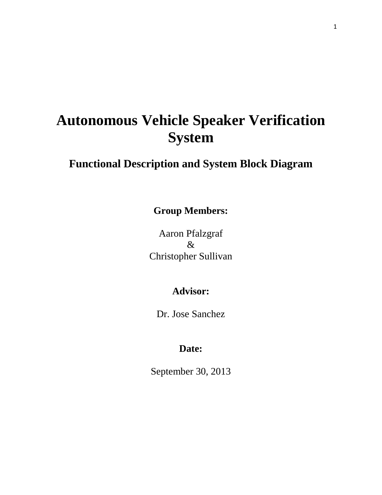# **Autonomous Vehicle Speaker Verification System**

# **Functional Description and System Block Diagram**

**Group Members:**

Aaron Pfalzgraf  $\mathcal{R}$ Christopher Sullivan

## **Advisor:**

Dr. Jose Sanchez

### **Date:**

September 30, 2013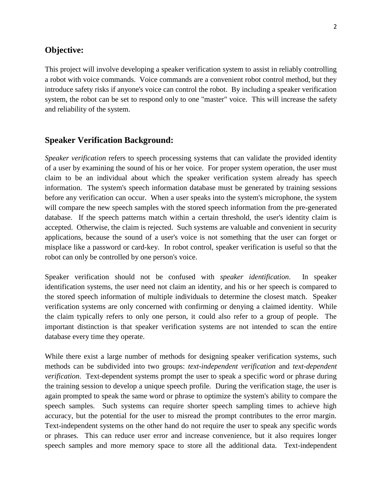#### **Objective:**

This project will involve developing a speaker verification system to assist in reliably controlling a robot with voice commands. Voice commands are a convenient robot control method, but they introduce safety risks if anyone's voice can control the robot. By including a speaker verification system, the robot can be set to respond only to one "master" voice. This will increase the safety and reliability of the system.

#### **Speaker Verification Background:**

*Speaker verification* refers to speech processing systems that can validate the provided identity of a user by examining the sound of his or her voice. For proper system operation, the user must claim to be an individual about which the speaker verification system already has speech information. The system's speech information database must be generated by training sessions before any verification can occur. When a user speaks into the system's microphone, the system will compare the new speech samples with the stored speech information from the pre-generated database. If the speech patterns match within a certain threshold, the user's identity claim is accepted. Otherwise, the claim is rejected. Such systems are valuable and convenient in security applications, because the sound of a user's voice is not something that the user can forget or misplace like a password or card-key. In robot control, speaker verification is useful so that the robot can only be controlled by one person's voice.

Speaker verification should not be confused with *speaker identification*. In speaker identification systems, the user need not claim an identity, and his or her speech is compared to the stored speech information of multiple individuals to determine the closest match. Speaker verification systems are only concerned with confirming or denying a claimed identity. While the claim typically refers to only one person, it could also refer to a group of people. The important distinction is that speaker verification systems are not intended to scan the entire database every time they operate.

While there exist a large number of methods for designing speaker verification systems, such methods can be subdivided into two groups: *text-independent verification* and *text-dependent verification*. Text-dependent systems prompt the user to speak a specific word or phrase during the training session to develop a unique speech profile. During the verification stage, the user is again prompted to speak the same word or phrase to optimize the system's ability to compare the speech samples. Such systems can require shorter speech sampling times to achieve high accuracy, but the potential for the user to misread the prompt contributes to the error margin. Text-independent systems on the other hand do not require the user to speak any specific words or phrases. This can reduce user error and increase convenience, but it also requires longer speech samples and more memory space to store all the additional data. Text-independent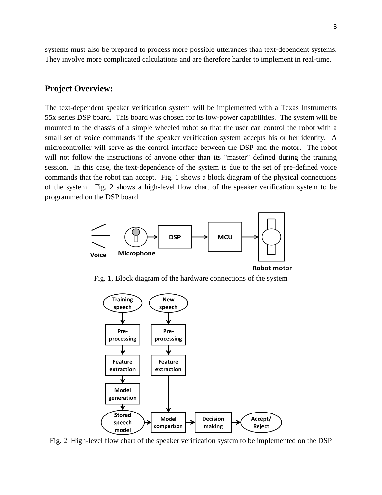systems must also be prepared to process more possible utterances than text-dependent systems. They involve more complicated calculations and are therefore harder to implement in real-time.

#### **Project Overview:**

The text-dependent speaker verification system will be implemented with a Texas Instruments 55x series DSP board. This board was chosen for its low-power capabilities. The system will be mounted to the chassis of a simple wheeled robot so that the user can control the robot with a small set of voice commands if the speaker verification system accepts his or her identity. A microcontroller will serve as the control interface between the DSP and the motor. The robot will not follow the instructions of anyone other than its "master" defined during the training session. In this case, the text-dependence of the system is due to the set of pre-defined voice commands that the robot can accept. Fig. 1 shows a block diagram of the physical connections of the system. Fig. 2 shows a high-level flow chart of the speaker verification system to be programmed on the DSP board.



**Robot motor** 

Fig. 1, Block diagram of the hardware connections of the system



Fig. 2, High-level flow chart of the speaker verification system to be implemented on the DSP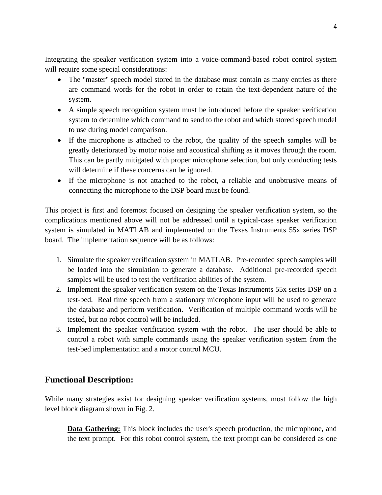Integrating the speaker verification system into a voice-command-based robot control system will require some special considerations:

- The "master" speech model stored in the database must contain as many entries as there are command words for the robot in order to retain the text-dependent nature of the system.
- A simple speech recognition system must be introduced before the speaker verification system to determine which command to send to the robot and which stored speech model to use during model comparison.
- If the microphone is attached to the robot, the quality of the speech samples will be greatly deteriorated by motor noise and acoustical shifting as it moves through the room. This can be partly mitigated with proper microphone selection, but only conducting tests will determine if these concerns can be ignored.
- If the microphone is not attached to the robot, a reliable and unobtrusive means of connecting the microphone to the DSP board must be found.

This project is first and foremost focused on designing the speaker verification system, so the complications mentioned above will not be addressed until a typical-case speaker verification system is simulated in MATLAB and implemented on the Texas Instruments 55x series DSP board. The implementation sequence will be as follows:

- 1. Simulate the speaker verification system in MATLAB. Pre-recorded speech samples will be loaded into the simulation to generate a database. Additional pre-recorded speech samples will be used to test the verification abilities of the system.
- 2. Implement the speaker verification system on the Texas Instruments 55x series DSP on a test-bed. Real time speech from a stationary microphone input will be used to generate the database and perform verification. Verification of multiple command words will be tested, but no robot control will be included.
- 3. Implement the speaker verification system with the robot. The user should be able to control a robot with simple commands using the speaker verification system from the test-bed implementation and a motor control MCU.

### **Functional Description:**

While many strategies exist for designing speaker verification systems, most follow the high level block diagram shown in Fig. 2.

**Data Gathering:** This block includes the user's speech production, the microphone, and the text prompt. For this robot control system, the text prompt can be considered as one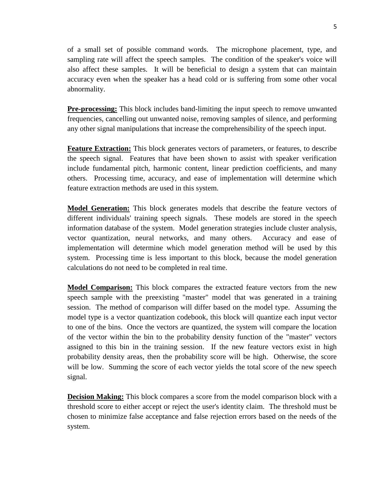of a small set of possible command words. The microphone placement, type, and sampling rate will affect the speech samples. The condition of the speaker's voice will also affect these samples. It will be beneficial to design a system that can maintain accuracy even when the speaker has a head cold or is suffering from some other vocal abnormality.

**Pre-processing:** This block includes band-limiting the input speech to remove unwanted frequencies, cancelling out unwanted noise, removing samples of silence, and performing any other signal manipulations that increase the comprehensibility of the speech input.

**Feature Extraction:** This block generates vectors of parameters, or features, to describe the speech signal. Features that have been shown to assist with speaker verification include fundamental pitch, harmonic content, linear prediction coefficients, and many others. Processing time, accuracy, and ease of implementation will determine which feature extraction methods are used in this system.

**Model Generation:** This block generates models that describe the feature vectors of different individuals' training speech signals. These models are stored in the speech information database of the system. Model generation strategies include cluster analysis, vector quantization, neural networks, and many others. Accuracy and ease of implementation will determine which model generation method will be used by this system. Processing time is less important to this block, because the model generation calculations do not need to be completed in real time.

**Model Comparison:** This block compares the extracted feature vectors from the new speech sample with the preexisting "master" model that was generated in a training session. The method of comparison will differ based on the model type. Assuming the model type is a vector quantization codebook, this block will quantize each input vector to one of the bins. Once the vectors are quantized, the system will compare the location of the vector within the bin to the probability density function of the "master" vectors assigned to this bin in the training session. If the new feature vectors exist in high probability density areas, then the probability score will be high. Otherwise, the score will be low. Summing the score of each vector yields the total score of the new speech signal.

**Decision Making:** This block compares a score from the model comparison block with a threshold score to either accept or reject the user's identity claim. The threshold must be chosen to minimize false acceptance and false rejection errors based on the needs of the system.